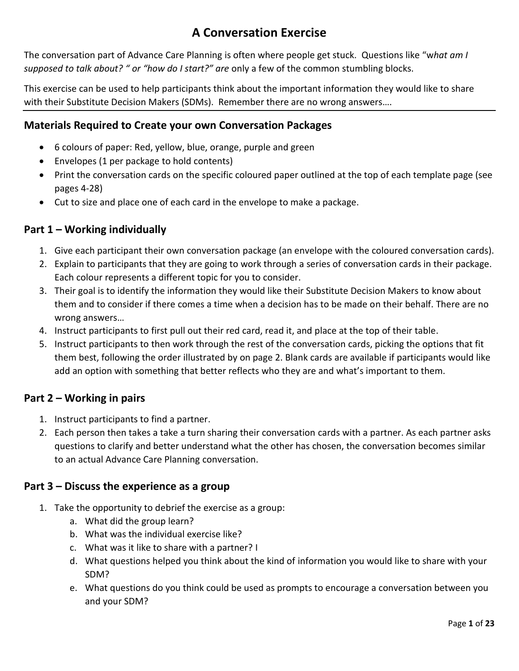### **A Conversation Exercise**

The conversation part of Advance Care Planning is often where people get stuck. Questions like "w*hat am I supposed to talk about? " or "how do I start?" are* only a few of the common stumbling blocks.

This exercise can be used to help participants think about the important information they would like to share with their Substitute Decision Makers (SDMs). Remember there are no wrong answers….

### **Materials Required to Create your own Conversation Packages**

- 6 colours of paper: Red, yellow, blue, orange, purple and green
- Envelopes (1 per package to hold contents)
- Print the conversation cards on the specific coloured paper outlined at the top of each template page (see pages 4-28)
- Cut to size and place one of each card in the envelope to make a package.

#### **Part 1 – Working individually**

- 1. Give each participant their own conversation package (an envelope with the coloured conversation cards).
- 2. Explain to participants that they are going to work through a series of conversation cards in their package. Each colour represents a different topic for you to consider.
- 3. Their goal is to identify the information they would like their Substitute Decision Makers to know about them and to consider if there comes a time when a decision has to be made on their behalf. There are no wrong answers…
- 4. Instruct participants to first pull out their red card, read it, and place at the top of their table.
- 5. Instruct participants to then work through the rest of the conversation cards, picking the options that fit them best, following the order illustrated by on page 2. Blank cards are available if participants would like add an option with something that better reflects who they are and what's important to them.

#### **Part 2 – Working in pairs**

- 1. Instruct participants to find a partner.
- 2. Each person then takes a take a turn sharing their conversation cards with a partner. As each partner asks questions to clarify and better understand what the other has chosen, the conversation becomes similar to an actual Advance Care Planning conversation.

#### **Part 3 – Discuss the experience as a group**

- 1. Take the opportunity to debrief the exercise as a group:
	- a. What did the group learn?
	- b. What was the individual exercise like?
	- c. What was it like to share with a partner? I
	- d. What questions helped you think about the kind of information you would like to share with your SDM?
	- e. What questions do you think could be used as prompts to encourage a conversation between you and your SDM?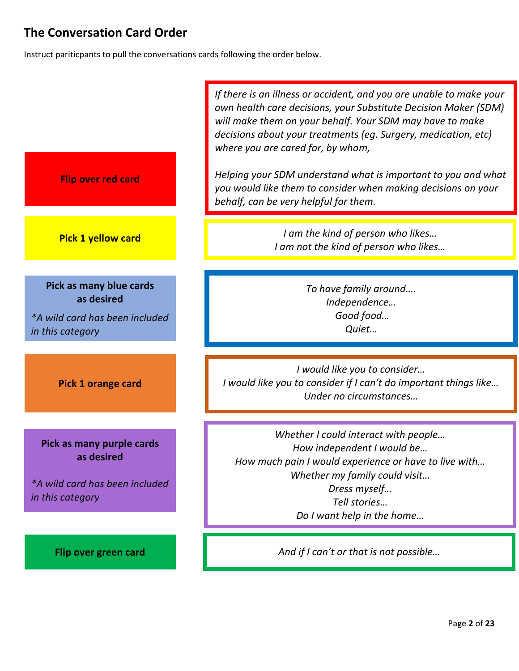### **The Conversation Card Order**

Instruct pariticpants to pull the conversations cards following the order below.

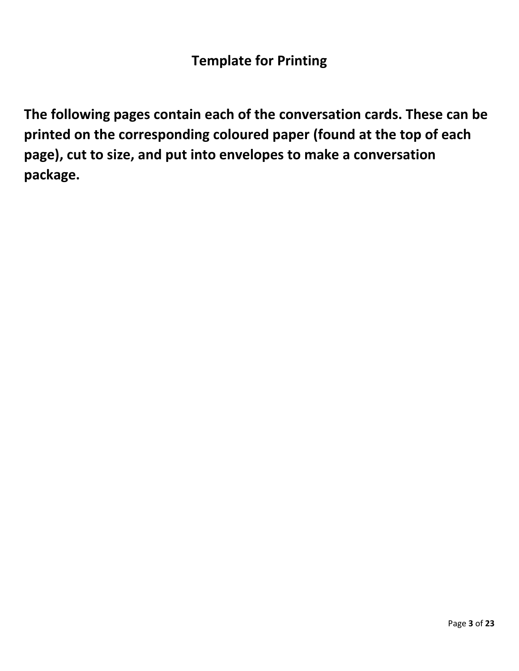**The following pages contain each of the conversation cards. These can be printed on the corresponding coloured paper (found at the top of each page), cut to size, and put into envelopes to make a conversation package.**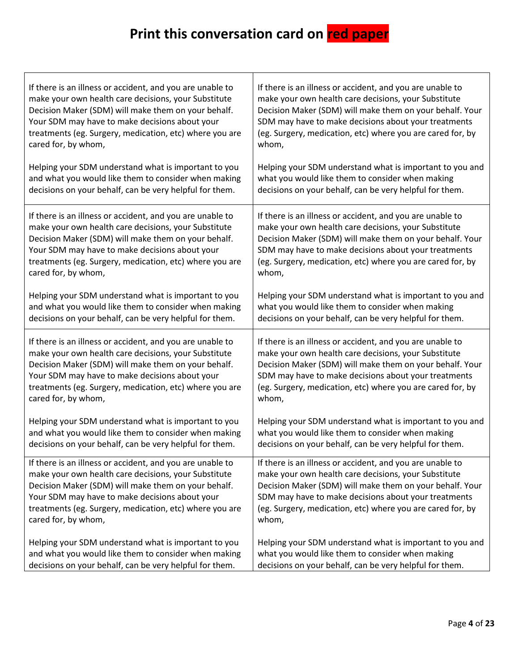| If there is an illness or accident, and you are unable to | If there is an illness or accident, and you are unable to  |
|-----------------------------------------------------------|------------------------------------------------------------|
| make your own health care decisions, your Substitute      | make your own health care decisions, your Substitute       |
| Decision Maker (SDM) will make them on your behalf.       | Decision Maker (SDM) will make them on your behalf. Your   |
| Your SDM may have to make decisions about your            | SDM may have to make decisions about your treatments       |
| treatments (eg. Surgery, medication, etc) where you are   | (eg. Surgery, medication, etc) where you are cared for, by |
| cared for, by whom,                                       | whom,                                                      |
| Helping your SDM understand what is important to you      | Helping your SDM understand what is important to you and   |
| and what you would like them to consider when making      | what you would like them to consider when making           |
| decisions on your behalf, can be very helpful for them.   | decisions on your behalf, can be very helpful for them.    |
| If there is an illness or accident, and you are unable to | If there is an illness or accident, and you are unable to  |
| make your own health care decisions, your Substitute      | make your own health care decisions, your Substitute       |
| Decision Maker (SDM) will make them on your behalf.       | Decision Maker (SDM) will make them on your behalf. Your   |
| Your SDM may have to make decisions about your            | SDM may have to make decisions about your treatments       |
| treatments (eg. Surgery, medication, etc) where you are   | (eg. Surgery, medication, etc) where you are cared for, by |
| cared for, by whom,                                       | whom,                                                      |
| Helping your SDM understand what is important to you      | Helping your SDM understand what is important to you and   |
| and what you would like them to consider when making      | what you would like them to consider when making           |
| decisions on your behalf, can be very helpful for them.   | decisions on your behalf, can be very helpful for them.    |
| If there is an illness or accident, and you are unable to | If there is an illness or accident, and you are unable to  |
| make your own health care decisions, your Substitute      | make your own health care decisions, your Substitute       |
| Decision Maker (SDM) will make them on your behalf.       | Decision Maker (SDM) will make them on your behalf. Your   |
| Your SDM may have to make decisions about your            | SDM may have to make decisions about your treatments       |
| treatments (eg. Surgery, medication, etc) where you are   | (eg. Surgery, medication, etc) where you are cared for, by |
| cared for, by whom,                                       | whom,                                                      |
| Helping your SDM understand what is important to you      | Helping your SDM understand what is important to you and   |
| and what you would like them to consider when making      | what you would like them to consider when making           |
| decisions on your behalf, can be very helpful for them.   | decisions on your behalf, can be very helpful for them.    |
| If there is an illness or accident, and you are unable to | If there is an illness or accident, and you are unable to  |
| make your own health care decisions, your Substitute      | make your own health care decisions, your Substitute       |
| Decision Maker (SDM) will make them on your behalf.       | Decision Maker (SDM) will make them on your behalf. Your   |
| Your SDM may have to make decisions about your            | SDM may have to make decisions about your treatments       |
| treatments (eg. Surgery, medication, etc) where you are   | (eg. Surgery, medication, etc) where you are cared for, by |
| cared for, by whom,                                       | whom,                                                      |
| Helping your SDM understand what is important to you      | Helping your SDM understand what is important to you and   |
| and what you would like them to consider when making      | what you would like them to consider when making           |
| decisions on your behalf, can be very helpful for them.   | decisions on your behalf, can be very helpful for them.    |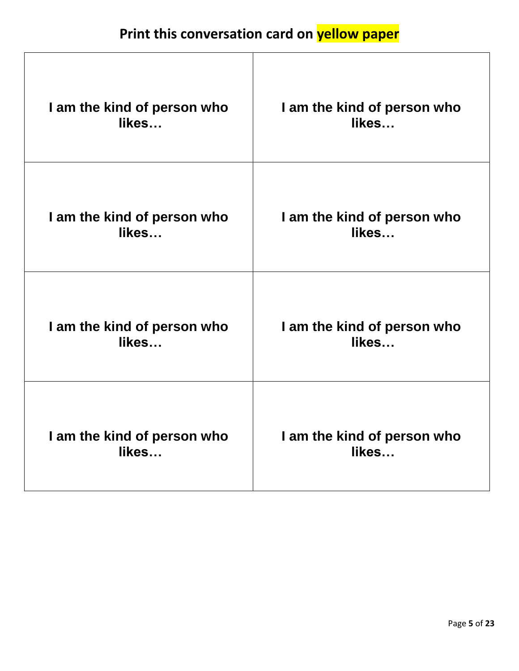| I am the kind of person who | I am the kind of person who |
|-----------------------------|-----------------------------|
| likes                       | likes                       |
| I am the kind of person who | I am the kind of person who |
| likes                       | likes                       |
| I am the kind of person who | I am the kind of person who |
| likes                       | likes                       |
| I am the kind of person who | I am the kind of person who |
| likes                       | likes                       |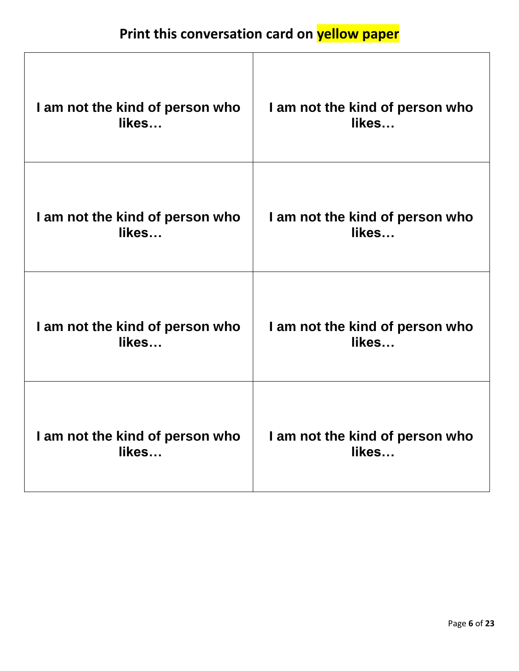| I am not the kind of person who | I am not the kind of person who |
|---------------------------------|---------------------------------|
| likes                           | likes                           |
| I am not the kind of person who | I am not the kind of person who |
| likes                           | likes                           |
| I am not the kind of person who | I am not the kind of person who |
| likes                           | likes                           |
| I am not the kind of person who | I am not the kind of person who |
| likes                           | likes                           |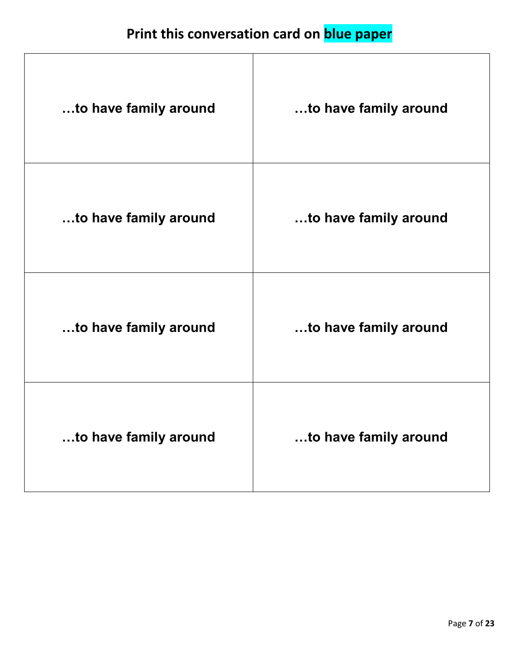| to have family around | to have family around |
|-----------------------|-----------------------|
| to have family around | to have family around |
| to have family around | to have family around |
| to have family around | to have family around |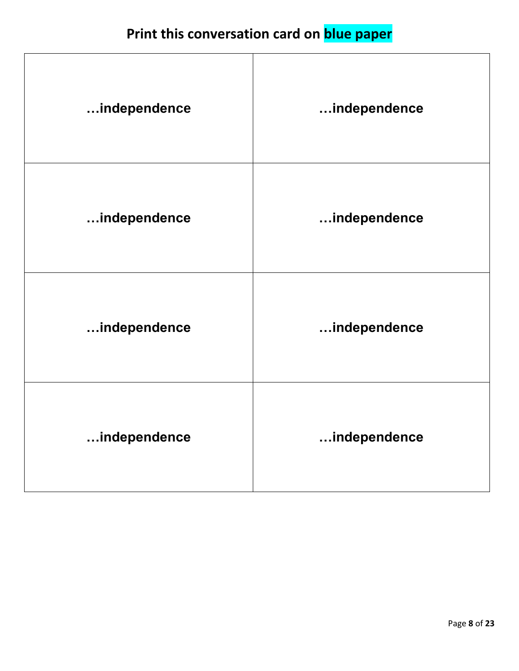| independence | independence |
|--------------|--------------|
| independence | independence |
| independence | independence |
| independence | independence |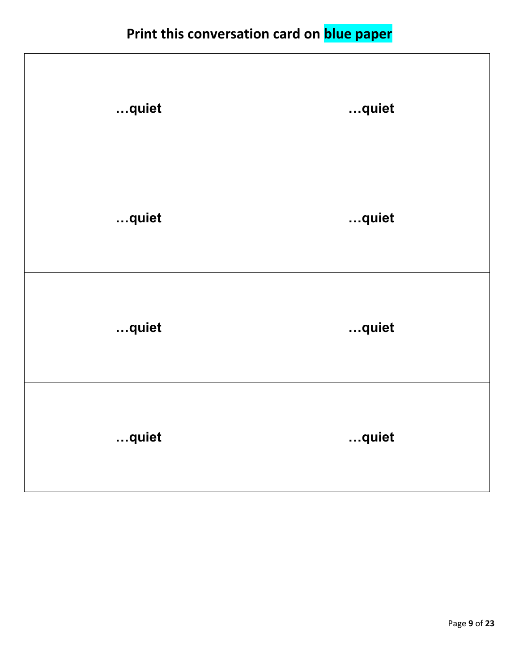| quiet | quiet |
|-------|-------|
| quiet | quiet |
| quiet | quiet |
| quiet | quiet |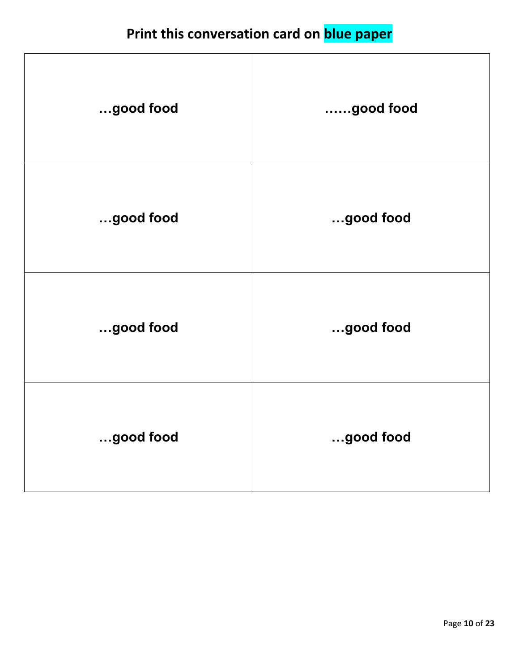| good food | good food |
|-----------|-----------|
| good food | good food |
| good food | good food |
| good food | good food |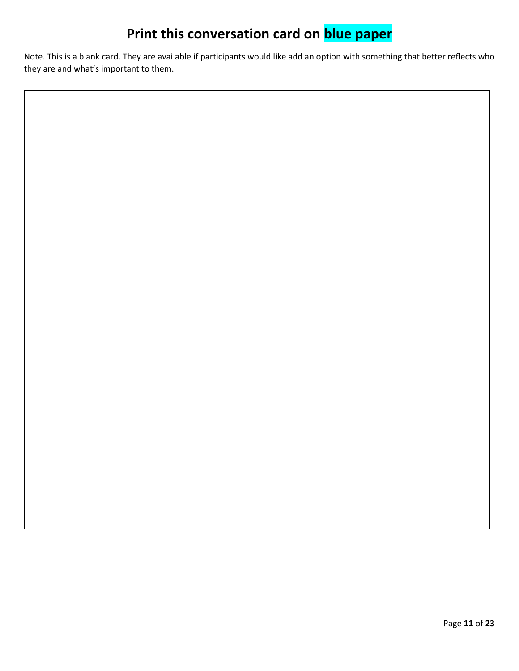Note. This is a blank card. They are available if participants would like add an option with something that better reflects who they are and what's important to them.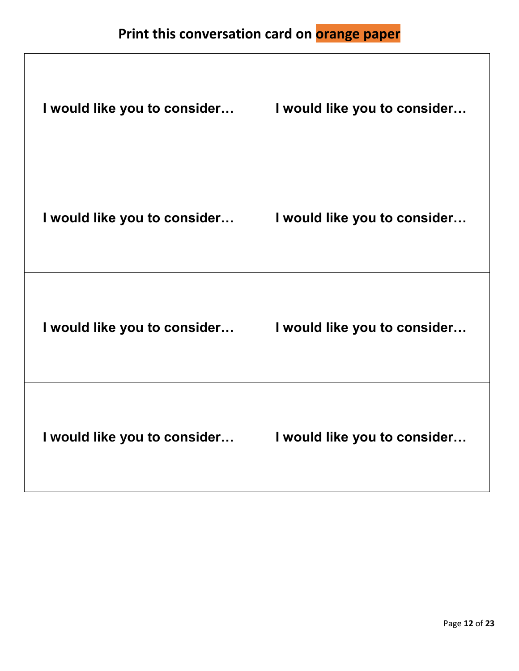| I would like you to consider | I would like you to consider |
|------------------------------|------------------------------|
| I would like you to consider | I would like you to consider |
| I would like you to consider | I would like you to consider |
| I would like you to consider | I would like you to consider |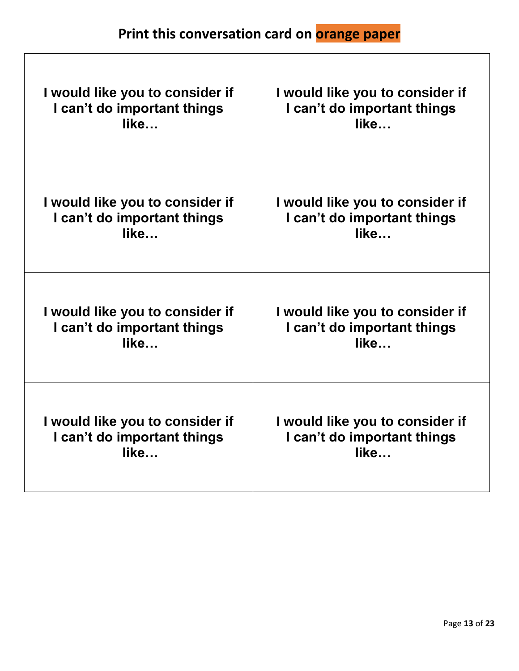| I would like you to consider if | I would like you to consider if |
|---------------------------------|---------------------------------|
| I can't do important things     | I can't do important things     |
| like                            | like                            |
| I would like you to consider if | I would like you to consider if |
| I can't do important things     | I can't do important things     |
| like                            | like                            |
| I would like you to consider if | I would like you to consider if |
| I can't do important things     | I can't do important things     |
| like                            | like                            |
| I would like you to consider if | I would like you to consider if |
| I can't do important things     | I can't do important things     |
| like                            | like                            |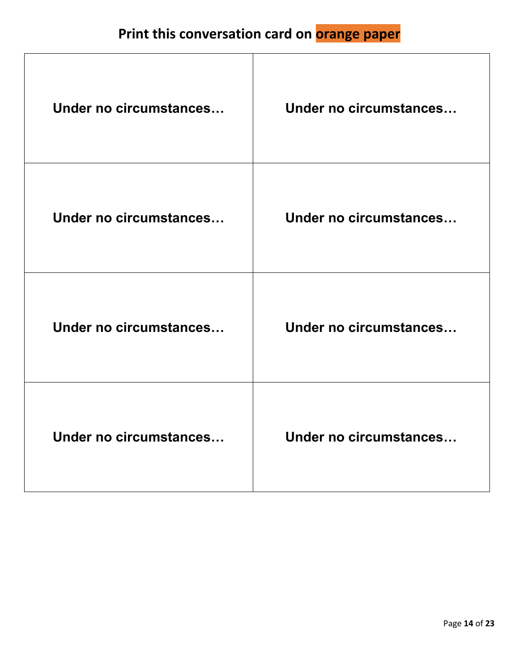| Under no circumstances | Under no circumstances |
|------------------------|------------------------|
| Under no circumstances | Under no circumstances |
| Under no circumstances | Under no circumstances |
| Under no circumstances | Under no circumstances |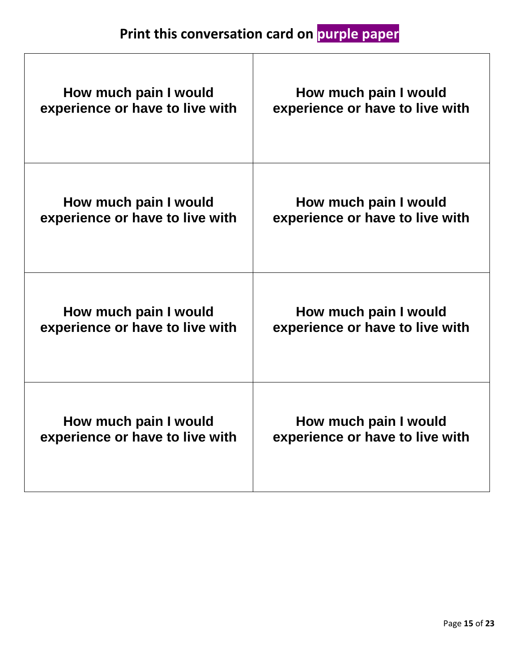| How much pain I would           | How much pain I would           |
|---------------------------------|---------------------------------|
| experience or have to live with | experience or have to live with |
| How much pain I would           | How much pain I would           |
| experience or have to live with | experience or have to live with |
| How much pain I would           | How much pain I would           |
| experience or have to live with | experience or have to live with |
| How much pain I would           | How much pain I would           |
| experience or have to live with | experience or have to live with |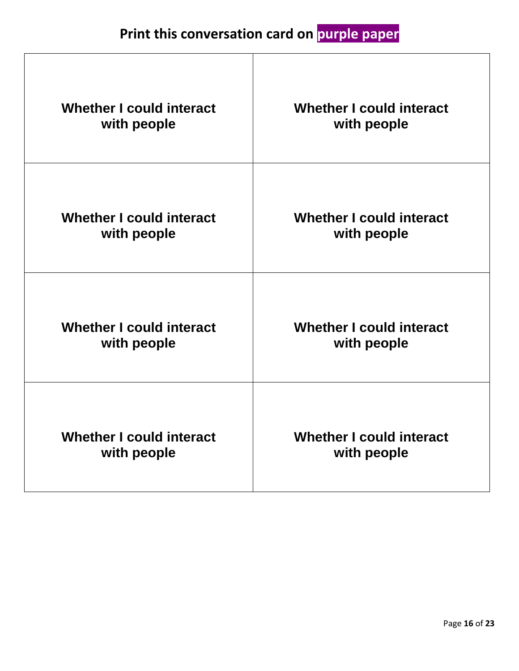| Whether I could interact | Whether I could interact |
|--------------------------|--------------------------|
| with people              | with people              |
| Whether I could interact | Whether I could interact |
| with people              | with people              |
| Whether I could interact | Whether I could interact |
| with people              | with people              |
| Whether I could interact | Whether I could interact |
| with people              | with people              |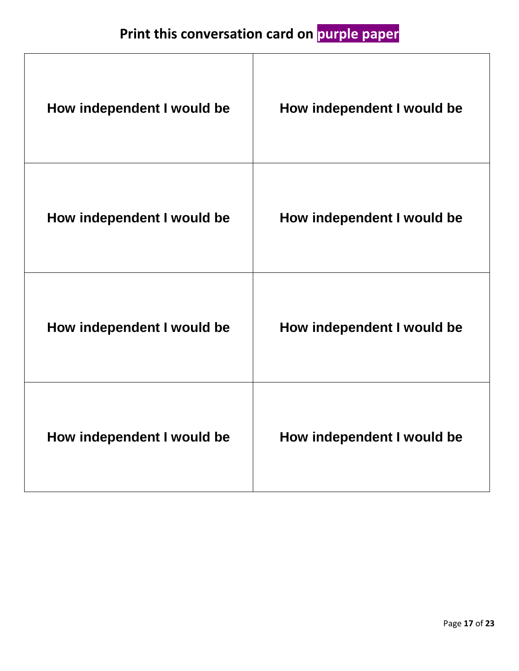| How independent I would be | How independent I would be |
|----------------------------|----------------------------|
| How independent I would be | How independent I would be |
| How independent I would be | How independent I would be |
| How independent I would be | How independent I would be |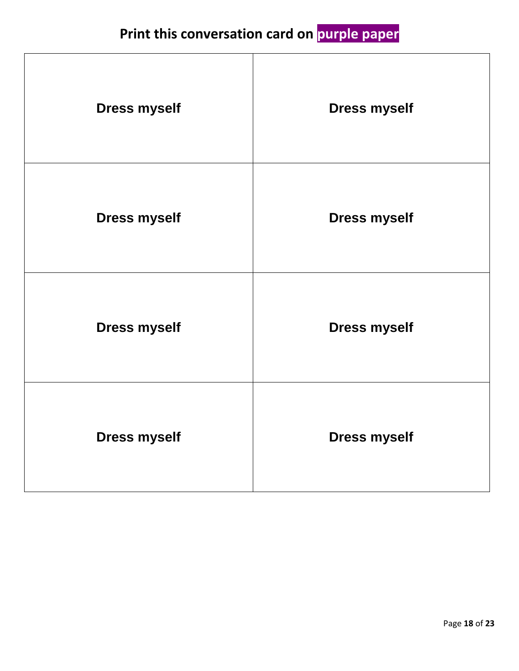| <b>Dress myself</b> | <b>Dress myself</b> |
|---------------------|---------------------|
| <b>Dress myself</b> | <b>Dress myself</b> |
| <b>Dress myself</b> | <b>Dress myself</b> |
| <b>Dress myself</b> | <b>Dress myself</b> |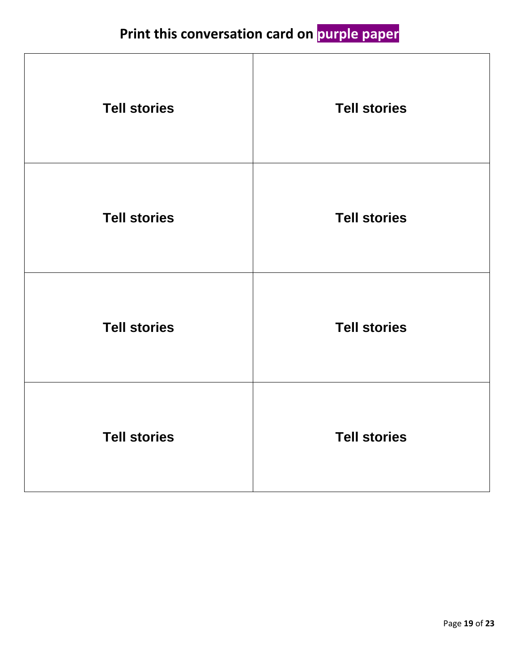| <b>Tell stories</b> | <b>Tell stories</b> |
|---------------------|---------------------|
| <b>Tell stories</b> | <b>Tell stories</b> |
| <b>Tell stories</b> | <b>Tell stories</b> |
| <b>Tell stories</b> | <b>Tell stories</b> |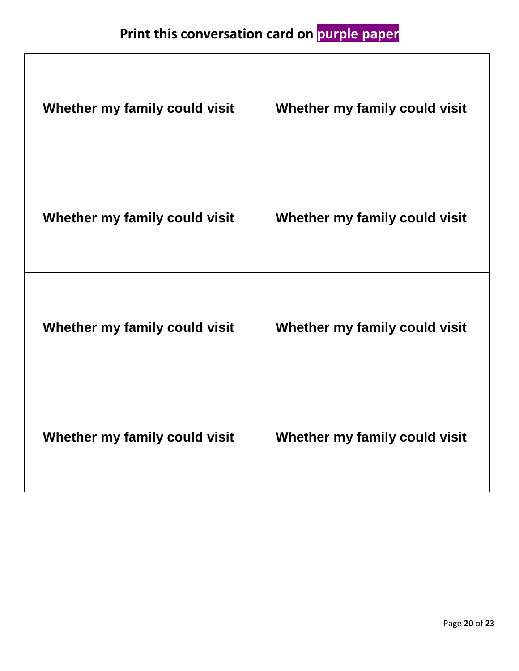| Whether my family could visit | Whether my family could visit |
|-------------------------------|-------------------------------|
| Whether my family could visit | Whether my family could visit |
| Whether my family could visit | Whether my family could visit |
| Whether my family could visit | Whether my family could visit |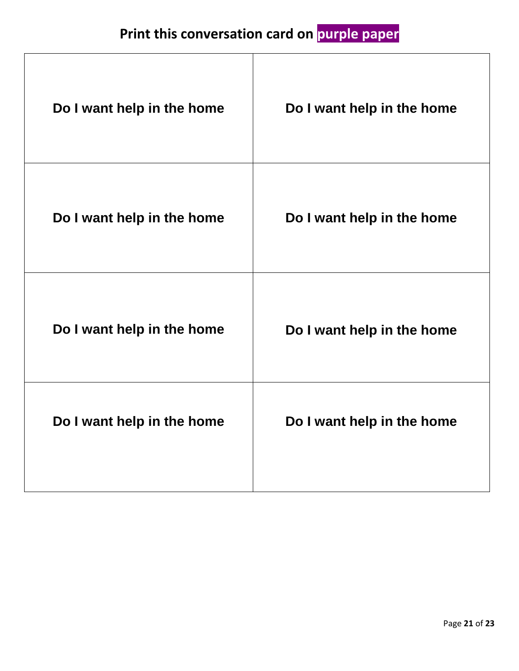| Do I want help in the home | Do I want help in the home |
|----------------------------|----------------------------|
| Do I want help in the home | Do I want help in the home |
| Do I want help in the home | Do I want help in the home |
| Do I want help in the home | Do I want help in the home |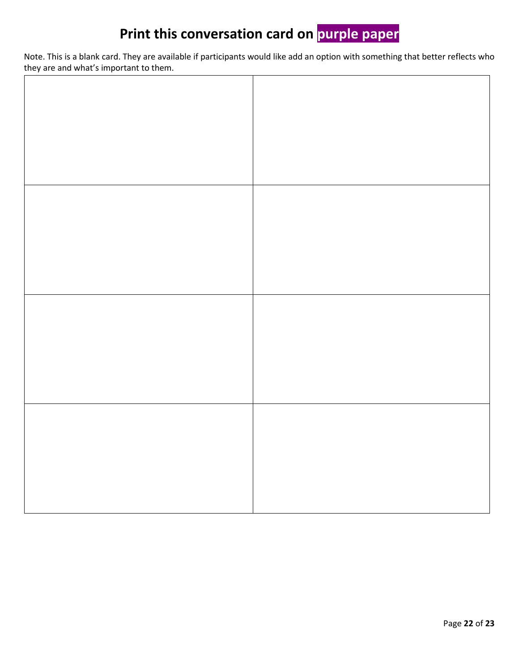Note. This is a blank card. They are available if participants would like add an option with something that better reflects who they are and what's important to them.